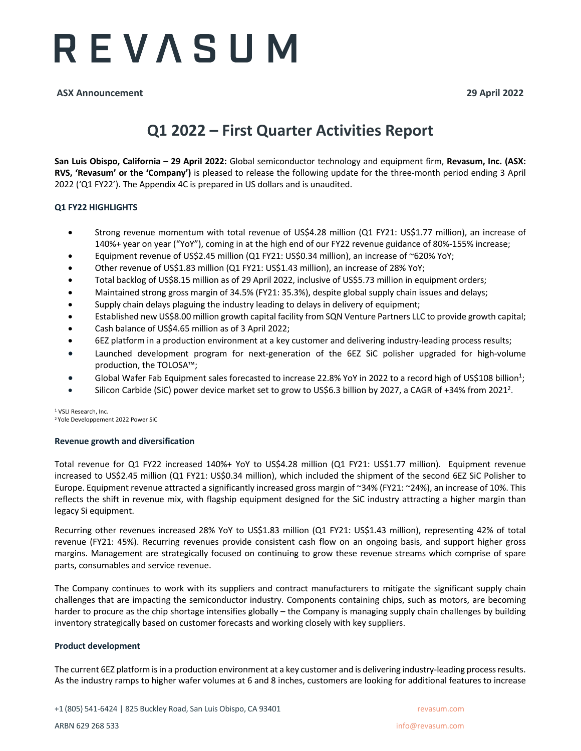## REVASUM

**ASX Announcement 29 April 2022**

### **Q1 2022 – First Quarter Activities Report**

**San Luis Obispo, California – 29 April 2022:** Global semiconductor technology and equipment firm, **Revasum, Inc. (ASX: RVS, 'Revasum' or the 'Company')** is pleased to release the following update for the three-month period ending 3 April 2022 ('Q1 FY22'). The Appendix 4C is prepared in US dollars and is unaudited.

#### **Q1 FY22 HIGHLIGHTS**

- Strong revenue momentum with total revenue of US\$4.28 million (Q1 FY21: US\$1.77 million), an increase of 140%+ year on year ("YoY"), coming in at the high end of our FY22 revenue guidance of 80%-155% increase;
- Equipment revenue of US\$2.45 million (Q1 FY21: US\$0.34 million), an increase of ~620% YoY;
- Other revenue of US\$1.83 million (Q1 FY21: US\$1.43 million), an increase of 28% YoY;
- Total backlog of US\$8.15 million as of 29 April 2022, inclusive of US\$5.73 million in equipment orders;
- Maintained strong gross margin of 34.5% (FY21: 35.3%), despite global supply chain issues and delays;
- Supply chain delays plaguing the industry leading to delays in delivery of equipment;
- Established new US\$8.00 million growth capital facility from SQN Venture Partners LLC to provide growth capital;
- Cash balance of US\$4.65 million as of 3 April 2022;
- 6EZ platform in a production environment at a key customer and delivering industry-leading process results;
- Launched development program for next-generation of the 6EZ SiC polisher upgraded for high-volume production, the TOLOSA™;
- Global Wafer Fab Equipment sales forecasted to increase 22.8% YoY in 2022 to a record high of US\$108 billion<sup>1</sup>;
- Silicon Carbide (SiC) power device market set to grow to US\$6.3 billion by 2027, a CAGR of +34% from 2021<sup>2</sup>.

<sup>1</sup> VSLI Research, Inc. 2 Yole Developpement 2022 Power SiC

#### **Revenue growth and diversification**

Total revenue for Q1 FY22 increased 140%+ YoY to US\$4.28 million (Q1 FY21: US\$1.77 million). Equipment revenue increased to US\$2.45 million (Q1 FY21: US\$0.34 million), which included the shipment of the second 6EZ SiC Polisher to Europe. Equipment revenue attracted a significantly increased gross margin of ~34% (FY21: ~24%), an increase of 10%. This reflects the shift in revenue mix, with flagship equipment designed for the SiC industry attracting a higher margin than legacy Si equipment.

Recurring other revenues increased 28% YoY to US\$1.83 million (Q1 FY21: US\$1.43 million), representing 42% of total revenue (FY21: 45%). Recurring revenues provide consistent cash flow on an ongoing basis, and support higher gross margins. Management are strategically focused on continuing to grow these revenue streams which comprise of spare parts, consumables and service revenue.

The Company continues to work with its suppliers and contract manufacturers to mitigate the significant supply chain challenges that are impacting the semiconductor industry. Components containing chips, such as motors, are becoming harder to procure as the chip shortage intensifies globally – the Company is managing supply chain challenges by building inventory strategically based on customer forecasts and working closely with key suppliers.

#### **Product development**

The current 6EZ platform is in a production environment at a key customer and is delivering industry-leading process results. As the industry ramps to higher wafer volumes at 6 and 8 inches, customers are looking for additional features to increase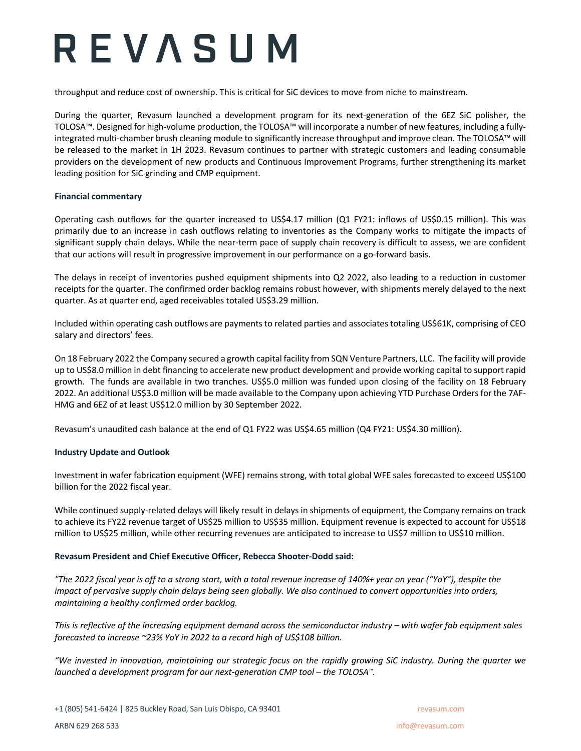# REVASUM

throughput and reduce cost of ownership. This is critical for SiC devices to move from niche to mainstream.

During the quarter, Revasum launched a development program for its next-generation of the 6EZ SiC polisher, the TOLOSA™. Designed for high-volume production, the TOLOSA™ will incorporate a number of new features, including a fullyintegrated multi-chamber brush cleaning module to significantly increase throughput and improve clean. The TOLOSA™ will be released to the market in 1H 2023. Revasum continues to partner with strategic customers and leading consumable providers on the development of new products and Continuous Improvement Programs, further strengthening its market leading position for SiC grinding and CMP equipment.

#### **Financial commentary**

Operating cash outflows for the quarter increased to US\$4.17 million (Q1 FY21: inflows of US\$0.15 million). This was primarily due to an increase in cash outflows relating to inventories as the Company works to mitigate the impacts of significant supply chain delays. While the near-term pace of supply chain recovery is difficult to assess, we are confident that our actions will result in progressive improvement in our performance on a go-forward basis.

The delays in receipt of inventories pushed equipment shipments into Q2 2022, also leading to a reduction in customer receipts for the quarter. The confirmed order backlog remains robust however, with shipments merely delayed to the next quarter. As at quarter end, aged receivables totaled US\$3.29 million.

Included within operating cash outflows are payments to related parties and associates totaling US\$61K, comprising of CEO salary and directors' fees.

On 18 February 2022 the Company secured a growth capital facility from SQN Venture Partners, LLC. The facility will provide up to US\$8.0 million in debt financing to accelerate new product development and provide working capital to support rapid growth. The funds are available in two tranches. US\$5.0 million was funded upon closing of the facility on 18 February 2022. An additional US\$3.0 million will be made available to the Company upon achieving YTD Purchase Orders for the 7AF-HMG and 6EZ of at least US\$12.0 million by 30 September 2022.

Revasum's unaudited cash balance at the end of Q1 FY22 was US\$4.65 million (Q4 FY21: US\$4.30 million).

#### **Industry Update and Outlook**

Investment in wafer fabrication equipment (WFE) remains strong, with total global WFE sales forecasted to exceed US\$100 billion for the 2022 fiscal year.

While continued supply-related delays will likely result in delays in shipments of equipment, the Company remains on track to achieve its FY22 revenue target of US\$25 million to US\$35 million. Equipment revenue is expected to account for US\$18 million to US\$25 million, while other recurring revenues are anticipated to increase to US\$7 million to US\$10 million.

#### **Revasum President and Chief Executive Officer, Rebecca Shooter-Dodd said:**

*"The 2022 fiscal year is off to a strong start, with a total revenue increase of 140%+ year on year ("YoY"), despite the impact of pervasive supply chain delays being seen globally. We also continued to convert opportunities into orders, maintaining a healthy confirmed order backlog.* 

*This is reflective of the increasing equipment demand across the semiconductor industry – with wafer fab equipment sales forecasted to increase ~23% YoY in 2022 to a record high of US\$108 billion.* 

*"We invested in innovation, maintaining our strategic focus on the rapidly growing SiC industry. During the quarter we launched a development program for our next-generation CMP tool – the TOLOSA™.*